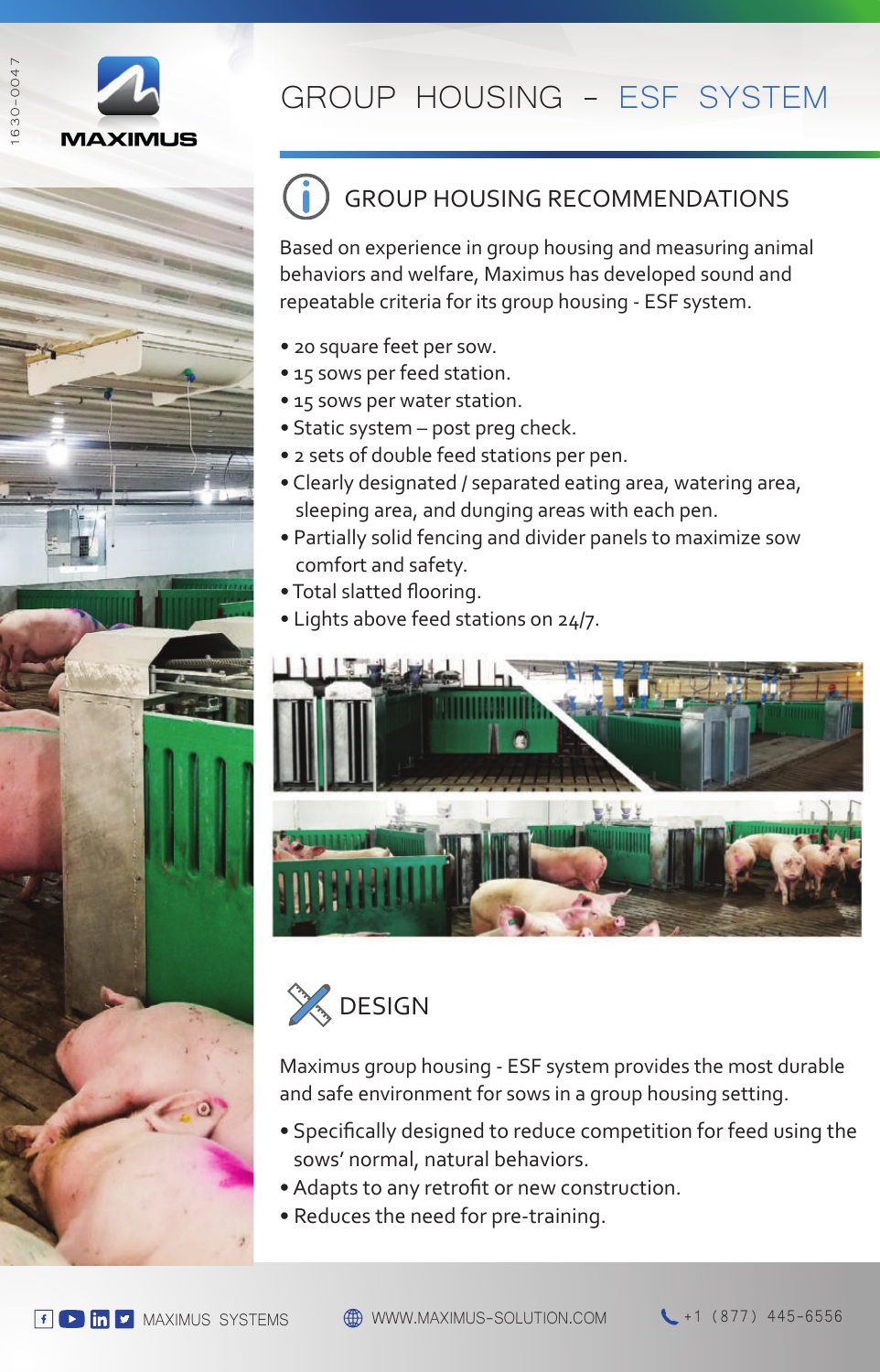



## GROUP HOUSING RECOMMENDATIONS

Based on experience in group housing and measuring animal behaviors and welfare, Maximus has developed sound and repeatable criteria for its group housing - ESF system.

- 20 square feet per sow.
- 15 sows per feed station.
- 15 sows per water station.
- Static system post preg check.
- 2 sets of double feed stations per pen.
- Clearly designated / separated eating area, watering area, sleeping area, and dunging areas with each pen.
- Partially solid fencing and divider panels to maximize sow comfort and safety.
- Total slatted flooring.
- Lights above feed stations on 24/7.





Maximus group housing - ESF system provides the most durable and safe environment for sows in a group housing setting.

- Specifically designed to reduce competition for feed using the sows' normal, natural behaviors.
- Adapts to any retrofit or new construction.
- Reduces the need for pre-training.